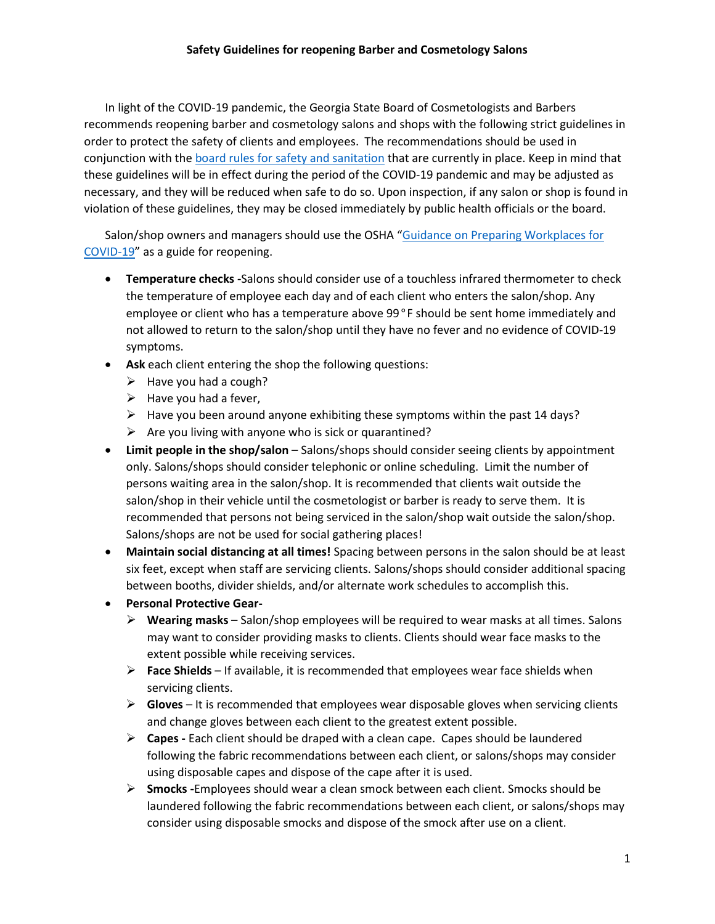In light of the COVID-19 pandemic, the Georgia State Board of Cosmetologists and Barbers recommends reopening barber and cosmetology salons and shops with the following strict guidelines in order to protect the safety of clients and employees. The recommendations should be used in conjunction with the [board rules for safety and sanitation](https://sos.ga.gov/index.php/licensing/plb/16/cosmetology_proposed_rules) that are currently in place. Keep in mind that these guidelines will be in effect during the period of the COVID-19 pandemic and may be adjusted as necessary, and they will be reduced when safe to do so. Upon inspection, if any salon or shop is found in violation of these guidelines, they may be closed immediately by public health officials or the board.

Salon/shop owners and managers should use the OSHA ["Guidance on Preparing Workplaces for](https://www.osha.gov/Publications/OSHA3990.pdf)  [COVID-19"](https://www.osha.gov/Publications/OSHA3990.pdf) as a guide for reopening.

- **Temperature checks -**Salons should consider use of a touchless infrared thermometer to check the temperature of employee each day and of each client who enters the salon/shop. Any employee or client who has a temperature above 99°F should be sent home immediately and not allowed to return to the salon/shop until they have no fever and no evidence of COVID-19 symptoms.
- **Ask** each client entering the shop the following questions:
	- $\triangleright$  Have you had a cough?
	- $\triangleright$  Have you had a fever,
	- $\triangleright$  Have you been around anyone exhibiting these symptoms within the past 14 days?
	- $\triangleright$  Are you living with anyone who is sick or quarantined?
- Limit people in the shop/salon Salons/shops should consider seeing clients by appointment only. Salons/shops should consider telephonic or online scheduling. Limit the number of persons waiting area in the salon/shop. It is recommended that clients wait outside the salon/shop in their vehicle until the cosmetologist or barber is ready to serve them. It is recommended that persons not being serviced in the salon/shop wait outside the salon/shop. Salons/shops are not be used for social gathering places!
- **Maintain social distancing at all times!** Spacing between persons in the salon should be at least six feet, except when staff are servicing clients. Salons/shops should consider additional spacing between booths, divider shields, and/or alternate work schedules to accomplish this.
- **Personal Protective Gear-**
	- **Wearing masks** Salon/shop employees will be required to wear masks at all times. Salons may want to consider providing masks to clients. Clients should wear face masks to the extent possible while receiving services.
	- **Face Shields**  If available, it is recommended that employees wear face shields when servicing clients.
	- **Gloves**  It is recommended that employees wear disposable gloves when servicing clients and change gloves between each client to the greatest extent possible.
	- **Capes -** Each client should be draped with a clean cape. Capes should be laundered following the fabric recommendations between each client, or salons/shops may consider using disposable capes and dispose of the cape after it is used.
	- **Smocks -**Employees should wear a clean smock between each client. Smocks should be laundered following the fabric recommendations between each client, or salons/shops may consider using disposable smocks and dispose of the smock after use on a client.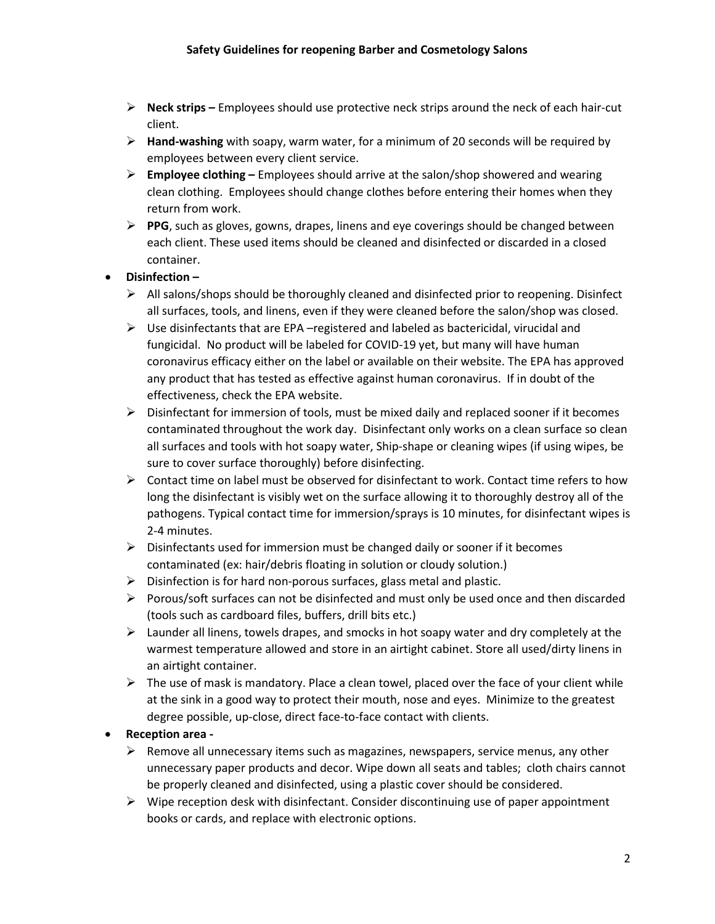- **Neck strips –** Employees should use protective neck strips around the neck of each hair-cut client.
- **Hand-washing** with soapy, warm water, for a minimum of 20 seconds will be required by employees between every client service.
- **Employee clothing –** Employees should arrive at the salon/shop showered and wearing clean clothing. Employees should change clothes before entering their homes when they return from work.
- **PPG**, such as gloves, gowns, drapes, linens and eye coverings should be changed between each client. These used items should be cleaned and disinfected or discarded in a closed container.

## • **Disinfection –**

- $\triangleright$  All salons/shops should be thoroughly cleaned and disinfected prior to reopening. Disinfect all surfaces, tools, and linens, even if they were cleaned before the salon/shop was closed.
- $\triangleright$  Use disinfectants that are EPA –registered and labeled as bactericidal, virucidal and fungicidal. No product will be labeled for COVID-19 yet, but many will have human coronavirus efficacy either on the label or available on their website. The EPA has approved any product that has tested as effective against human coronavirus. If in doubt of the effectiveness, check the EPA website.
- $\triangleright$  Disinfectant for immersion of tools, must be mixed daily and replaced sooner if it becomes contaminated throughout the work day. Disinfectant only works on a clean surface so clean all surfaces and tools with hot soapy water, Ship-shape or cleaning wipes (if using wipes, be sure to cover surface thoroughly) before disinfecting.
- $\triangleright$  Contact time on label must be observed for disinfectant to work. Contact time refers to how long the disinfectant is visibly wet on the surface allowing it to thoroughly destroy all of the pathogens. Typical contact time for immersion/sprays is 10 minutes, for disinfectant wipes is 2-4 minutes.
- $\triangleright$  Disinfectants used for immersion must be changed daily or sooner if it becomes contaminated (ex: hair/debris floating in solution or cloudy solution.)
- $\triangleright$  Disinfection is for hard non-porous surfaces, glass metal and plastic.
- $\triangleright$  Porous/soft surfaces can not be disinfected and must only be used once and then discarded (tools such as cardboard files, buffers, drill bits etc.)
- $\triangleright$  Launder all linens, towels drapes, and smocks in hot soapy water and dry completely at the warmest temperature allowed and store in an airtight cabinet. Store all used/dirty linens in an airtight container.
- $\triangleright$  The use of mask is mandatory. Place a clean towel, placed over the face of your client while at the sink in a good way to protect their mouth, nose and eyes. Minimize to the greatest degree possible, up-close, direct face-to-face contact with clients.

## • **Reception area -**

- $\triangleright$  Remove all unnecessary items such as magazines, newspapers, service menus, any other unnecessary paper products and decor. Wipe down all seats and tables; cloth chairs cannot be properly cleaned and disinfected, using a plastic cover should be considered.
- $\triangleright$  Wipe reception desk with disinfectant. Consider discontinuing use of paper appointment books or cards, and replace with electronic options.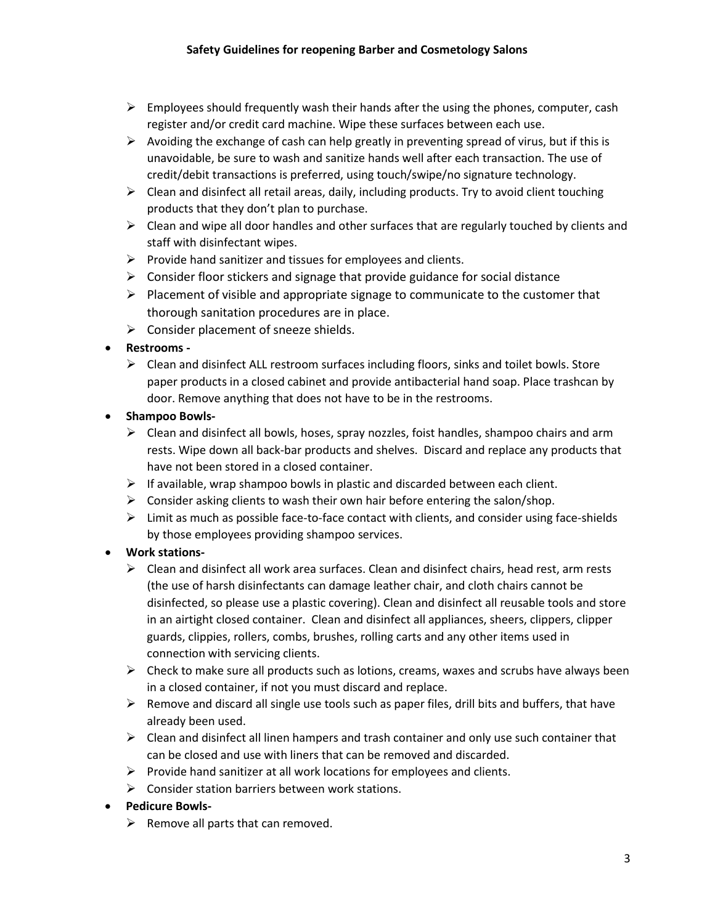- $\triangleright$  Employees should frequently wash their hands after the using the phones, computer, cash register and/or credit card machine. Wipe these surfaces between each use.
- $\triangleright$  Avoiding the exchange of cash can help greatly in preventing spread of virus, but if this is unavoidable, be sure to wash and sanitize hands well after each transaction. The use of credit/debit transactions is preferred, using touch/swipe/no signature technology.
- $\triangleright$  Clean and disinfect all retail areas, daily, including products. Try to avoid client touching products that they don't plan to purchase.
- $\triangleright$  Clean and wipe all door handles and other surfaces that are regularly touched by clients and staff with disinfectant wipes.
- $\triangleright$  Provide hand sanitizer and tissues for employees and clients.
- $\triangleright$  Consider floor stickers and signage that provide guidance for social distance
- $\triangleright$  Placement of visible and appropriate signage to communicate to the customer that thorough sanitation procedures are in place.
- $\triangleright$  Consider placement of sneeze shields.

## • **Restrooms -**

- $\triangleright$  Clean and disinfect ALL restroom surfaces including floors, sinks and toilet bowls. Store paper products in a closed cabinet and provide antibacterial hand soap. Place trashcan by door. Remove anything that does not have to be in the restrooms.
- **Shampoo Bowls-**
	- $\triangleright$  Clean and disinfect all bowls, hoses, spray nozzles, foist handles, shampoo chairs and arm rests. Wipe down all back-bar products and shelves. Discard and replace any products that have not been stored in a closed container.
	- $\triangleright$  If available, wrap shampoo bowls in plastic and discarded between each client.
	- $\triangleright$  Consider asking clients to wash their own hair before entering the salon/shop.
	- $\triangleright$  Limit as much as possible face-to-face contact with clients, and consider using face-shields by those employees providing shampoo services.

# • **Work stations-**

- $\triangleright$  Clean and disinfect all work area surfaces. Clean and disinfect chairs, head rest, arm rests (the use of harsh disinfectants can damage leather chair, and cloth chairs cannot be disinfected, so please use a plastic covering). Clean and disinfect all reusable tools and store in an airtight closed container. Clean and disinfect all appliances, sheers, clippers, clipper guards, clippies, rollers, combs, brushes, rolling carts and any other items used in connection with servicing clients.
- $\triangleright$  Check to make sure all products such as lotions, creams, waxes and scrubs have always been in a closed container, if not you must discard and replace.
- $\triangleright$  Remove and discard all single use tools such as paper files, drill bits and buffers, that have already been used.
- $\triangleright$  Clean and disinfect all linen hampers and trash container and only use such container that can be closed and use with liners that can be removed and discarded.
- $\triangleright$  Provide hand sanitizer at all work locations for employees and clients.
- $\triangleright$  Consider station barriers between work stations.

## • **Pedicure Bowls-**

 $\triangleright$  Remove all parts that can removed.